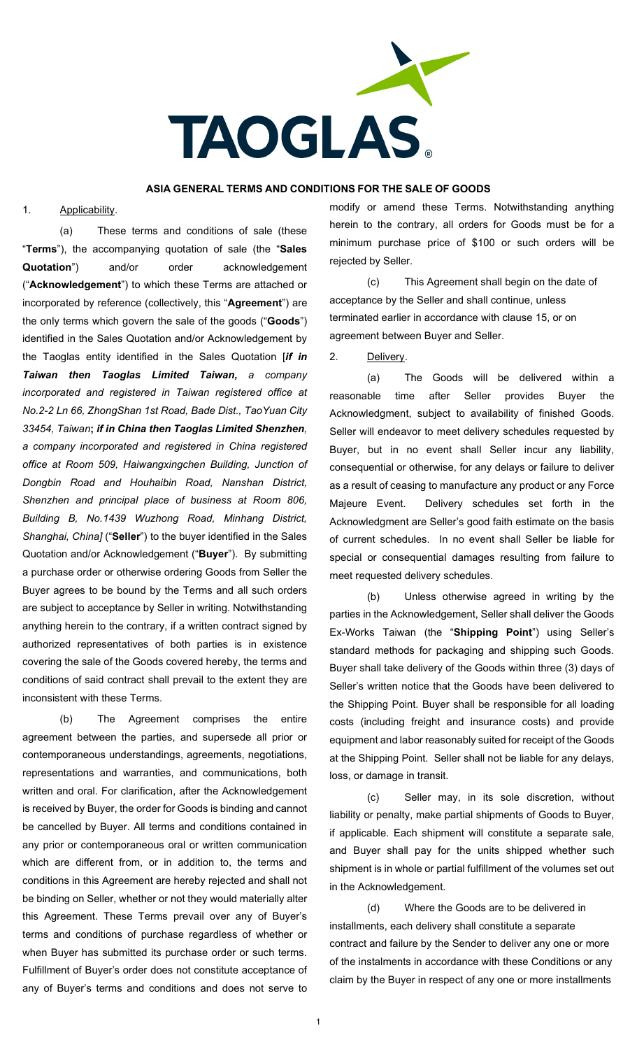

#### **ASIA GENERAL TERMS AND CONDITIONS FOR THE SALE OF GOODS**

#### 1. Applicability.

(a) These terms and conditions of sale (these "**Terms**"), the accompanying quotation of sale (the "**Sales Quotation**") and/or order acknowledgement ("**Acknowledgement**") to which these Terms are attached or incorporated by reference (collectively, this "**Agreement**") are the only terms which govern the sale of the goods ("**Goods**") identified in the Sales Quotation and/or Acknowledgement by the Taoglas entity identified in the Sales Quotation [*if in Taiwan then Taoglas Limited Taiwan, a company incorporated and registered in Taiwan registered office at No.2-2 Ln 66, ZhongShan 1st Road, Bade Dist., TaoYuan City 33454, Taiwan***;** *if in China then Taoglas Limited Shenzhen, a company incorporated and registered in China registered office at Room 509, Haiwangxingchen Building, Junction of Dongbin Road and Houhaibin Road, Nanshan District, Shenzhen and principal place of business at Room 806, Building B, No.1439 Wuzhong Road, Minhang District, Shanghai, China]* ("**Seller**") to the buyer identified in the Sales Quotation and/or Acknowledgement ("**Buyer**"). By submitting a purchase order or otherwise ordering Goods from Seller the Buyer agrees to be bound by the Terms and all such orders are subject to acceptance by Seller in writing. Notwithstanding anything herein to the contrary, if a written contract signed by authorized representatives of both parties is in existence covering the sale of the Goods covered hereby, the terms and conditions of said contract shall prevail to the extent they are inconsistent with these Terms.

(b) The Agreement comprises the entire agreement between the parties, and supersede all prior or contemporaneous understandings, agreements, negotiations, representations and warranties, and communications, both written and oral. For clarification, after the Acknowledgement is received by Buyer, the order for Goods is binding and cannot be cancelled by Buyer. All terms and conditions contained in any prior or contemporaneous oral or written communication which are different from, or in addition to, the terms and conditions in this Agreement are hereby rejected and shall not be binding on Seller, whether or not they would materially alter this Agreement. These Terms prevail over any of Buyer's terms and conditions of purchase regardless of whether or when Buyer has submitted its purchase order or such terms. Fulfillment of Buyer's order does not constitute acceptance of any of Buyer's terms and conditions and does not serve to

modify or amend these Terms. Notwithstanding anything herein to the contrary, all orders for Goods must be for a minimum purchase price of \$100 or such orders will be rejected by Seller.

(c) This Agreement shall begin on the date of acceptance by the Seller and shall continue, unless terminated earlier in accordance with clause 15, or on agreement between Buyer and Seller.

2. Delivery.

(a) The Goods will be delivered within a reasonable time after Seller provides Buyer the Acknowledgment, subject to availability of finished Goods. Seller will endeavor to meet delivery schedules requested by Buyer, but in no event shall Seller incur any liability, consequential or otherwise, for any delays or failure to deliver as a result of ceasing to manufacture any product or any Force Majeure Event. Delivery schedules set forth in the Acknowledgment are Seller's good faith estimate on the basis of current schedules. In no event shall Seller be liable for special or consequential damages resulting from failure to meet requested delivery schedules.

(b) Unless otherwise agreed in writing by the parties in the Acknowledgement, Seller shall deliver the Goods Ex-Works Taiwan (the "**Shipping Point**") using Seller's standard methods for packaging and shipping such Goods. Buyer shall take delivery of the Goods within three (3) days of Seller's written notice that the Goods have been delivered to the Shipping Point. Buyer shall be responsible for all loading costs (including freight and insurance costs) and provide equipment and labor reasonably suited for receipt of the Goods at the Shipping Point. Seller shall not be liable for any delays, loss, or damage in transit.

(c) Seller may, in its sole discretion, without liability or penalty, make partial shipments of Goods to Buyer, if applicable. Each shipment will constitute a separate sale, and Buyer shall pay for the units shipped whether such shipment is in whole or partial fulfillment of the volumes set out in the Acknowledgement.

(d) Where the Goods are to be delivered in installments, each delivery shall constitute a separate contract and failure by the Sender to deliver any one or more of the instalments in accordance with these Conditions or any claim by the Buyer in respect of any one or more installments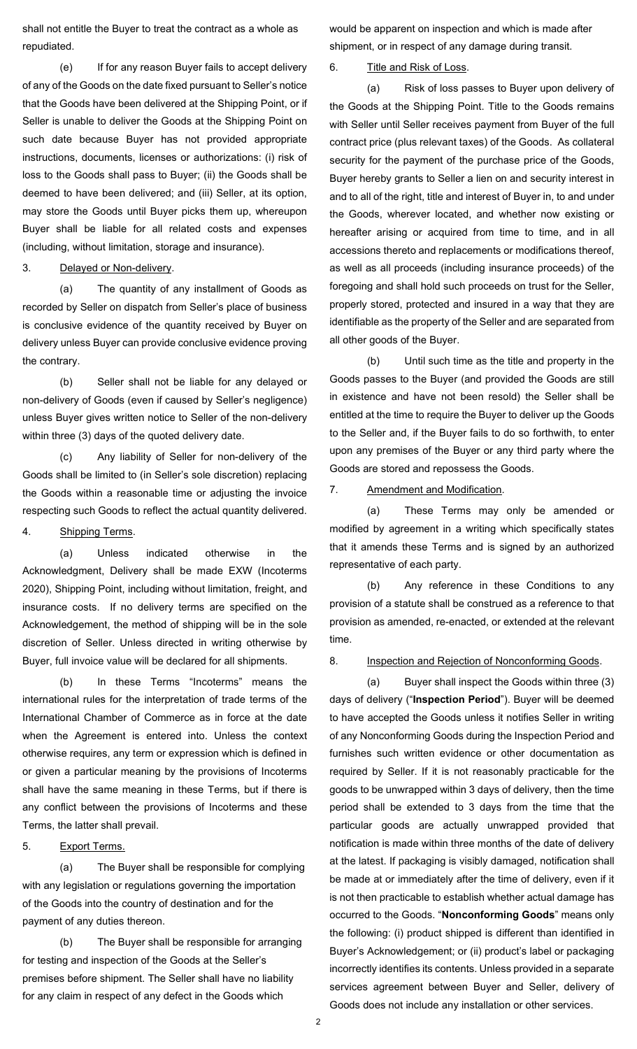shall not entitle the Buyer to treat the contract as a whole as repudiated.

(e) If for any reason Buyer fails to accept delivery of any of the Goods on the date fixed pursuant to Seller's notice that the Goods have been delivered at the Shipping Point, or if Seller is unable to deliver the Goods at the Shipping Point on such date because Buyer has not provided appropriate instructions, documents, licenses or authorizations: (i) risk of loss to the Goods shall pass to Buyer; (ii) the Goods shall be deemed to have been delivered; and (iii) Seller, at its option, may store the Goods until Buyer picks them up, whereupon Buyer shall be liable for all related costs and expenses (including, without limitation, storage and insurance).

### 3. Delayed or Non-delivery.

(a) The quantity of any installment of Goods as recorded by Seller on dispatch from Seller's place of business is conclusive evidence of the quantity received by Buyer on delivery unless Buyer can provide conclusive evidence proving the contrary.

(b) Seller shall not be liable for any delayed or non-delivery of Goods (even if caused by Seller's negligence) unless Buyer gives written notice to Seller of the non-delivery within three (3) days of the quoted delivery date.

(c) Any liability of Seller for non-delivery of the Goods shall be limited to (in Seller's sole discretion) replacing the Goods within a reasonable time or adjusting the invoice respecting such Goods to reflect the actual quantity delivered.

## 4. Shipping Terms.

(a) Unless indicated otherwise in the Acknowledgment, Delivery shall be made EXW (Incoterms 2020), Shipping Point, including without limitation, freight, and insurance costs. If no delivery terms are specified on the Acknowledgement, the method of shipping will be in the sole discretion of Seller. Unless directed in writing otherwise by Buyer, full invoice value will be declared for all shipments.

(b) In these Terms "Incoterms" means the international rules for the interpretation of trade terms of the International Chamber of Commerce as in force at the date when the Agreement is entered into. Unless the context otherwise requires, any term or expression which is defined in or given a particular meaning by the provisions of Incoterms shall have the same meaning in these Terms, but if there is any conflict between the provisions of Incoterms and these Terms, the latter shall prevail.

#### 5. Export Terms.

(a) The Buyer shall be responsible for complying with any legislation or regulations governing the importation of the Goods into the country of destination and for the payment of any duties thereon.

(b) The Buyer shall be responsible for arranging for testing and inspection of the Goods at the Seller's premises before shipment. The Seller shall have no liability for any claim in respect of any defect in the Goods which

would be apparent on inspection and which is made after shipment, or in respect of any damage during transit.

## 6. Title and Risk of Loss.

(a) Risk of loss passes to Buyer upon delivery of the Goods at the Shipping Point. Title to the Goods remains with Seller until Seller receives payment from Buyer of the full contract price (plus relevant taxes) of the Goods. As collateral security for the payment of the purchase price of the Goods, Buyer hereby grants to Seller a lien on and security interest in and to all of the right, title and interest of Buyer in, to and under the Goods, wherever located, and whether now existing or hereafter arising or acquired from time to time, and in all accessions thereto and replacements or modifications thereof, as well as all proceeds (including insurance proceeds) of the foregoing and shall hold such proceeds on trust for the Seller, properly stored, protected and insured in a way that they are identifiable as the property of the Seller and are separated from all other goods of the Buyer.

(b) Until such time as the title and property in the Goods passes to the Buyer (and provided the Goods are still in existence and have not been resold) the Seller shall be entitled at the time to require the Buyer to deliver up the Goods to the Seller and, if the Buyer fails to do so forthwith, to enter upon any premises of the Buyer or any third party where the Goods are stored and repossess the Goods.

#### 7. Amendment and Modification.

(a) These Terms may only be amended or modified by agreement in a writing which specifically states that it amends these Terms and is signed by an authorized representative of each party.

(b) Any reference in these Conditions to any provision of a statute shall be construed as a reference to that provision as amended, re-enacted, or extended at the relevant time.

#### 8. Inspection and Rejection of Nonconforming Goods.

<span id="page-1-0"></span>(a) Buyer shall inspect the Goods within three (3) days of delivery ("**Inspection Period**"). Buyer will be deemed to have accepted the Goods unless it notifies Seller in writing of any Nonconforming Goods during the Inspection Period and furnishes such written evidence or other documentation as required by Seller. If it is not reasonably practicable for the goods to be unwrapped within 3 days of delivery, then the time period shall be extended to 3 days from the time that the particular goods are actually unwrapped provided that notification is made within three months of the date of delivery at the latest. If packaging is visibly damaged, notification shall be made at or immediately after the time of delivery, even if it is not then practicable to establish whether actual damage has occurred to the Goods. "**Nonconforming Goods**" means only the following: (i) product shipped is different than identified in Buyer's Acknowledgement; or (ii) product's label or packaging incorrectly identifies its contents. Unless provided in a separate services agreement between Buyer and Seller, delivery of Goods does not include any installation or other services.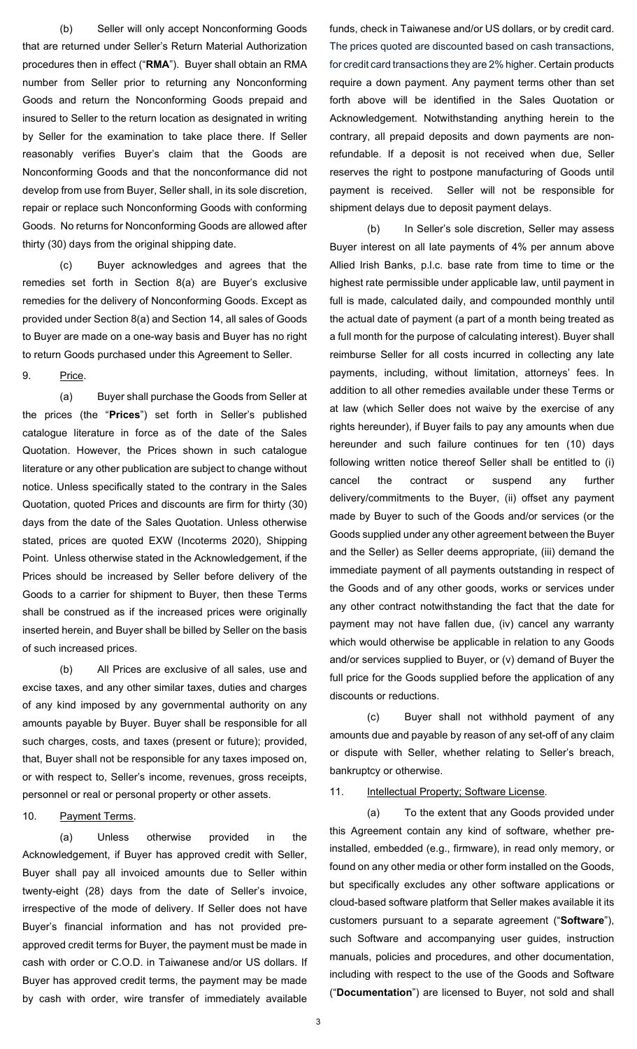(b) Seller will only accept Nonconforming Goods that are returned under Seller's Return Material Authorization procedures then in effect ("**RMA**"). Buyer shall obtain an RMA number from Seller prior to returning any Nonconforming Goods and return the Nonconforming Goods prepaid and insured to Seller to the return location as designated in writing by Seller for the examination to take place there. If Seller reasonably verifies Buyer's claim that the Goods are Nonconforming Goods and that the nonconformance did not develop from use from Buyer, Seller shall, in its sole discretion, repair or replace such Nonconforming Goods with conforming Goods. No returns for Nonconforming Goods are allowed after thirty (30) days from the original shipping date.

(c) Buyer acknowledges and agrees that the remedies set forth in Section [8\(a\)](#page-1-0) are Buyer's exclusive remedies for the delivery of Nonconforming Goods. Except as provided under Section [8\(a\)](#page-1-0) and Section 14, all sales of Goods to Buyer are made on a one-way basis and Buyer has no right to return Goods purchased under this Agreement to Seller.

9. Price.

(a) Buyer shall purchase the Goods from Seller at the prices (the "**Prices**") set forth in Seller's published catalogue literature in force as of the date of the Sales Quotation. However, the Prices shown in such catalogue literature or any other publication are subject to change without notice. Unless specifically stated to the contrary in the Sales Quotation, quoted Prices and discounts are firm for thirty (30) days from the date of the Sales Quotation. Unless otherwise stated, prices are quoted EXW (Incoterms 2020), Shipping Point. Unless otherwise stated in the Acknowledgement, if the Prices should be increased by Seller before delivery of the Goods to a carrier for shipment to Buyer, then these Terms shall be construed as if the increased prices were originally inserted herein, and Buyer shall be billed by Seller on the basis of such increased prices.

(b) All Prices are exclusive of all sales, use and excise taxes, and any other similar taxes, duties and charges of any kind imposed by any governmental authority on any amounts payable by Buyer. Buyer shall be responsible for all such charges, costs, and taxes (present or future); provided, that, Buyer shall not be responsible for any taxes imposed on, or with respect to, Seller's income, revenues, gross receipts, personnel or real or personal property or other assets.

## 10. Payment Terms.

(a) Unless otherwise provided in the Acknowledgement, if Buyer has approved credit with Seller, Buyer shall pay all invoiced amounts due to Seller within twenty-eight (28) days from the date of Seller's invoice, irrespective of the mode of delivery. If Seller does not have Buyer's financial information and has not provided preapproved credit terms for Buyer, the payment must be made in cash with order or C.O.D. in Taiwanese and/or US dollars. If Buyer has approved credit terms, the payment may be made by cash with order, wire transfer of immediately available

funds, check in Taiwanese and/or US dollars, or by credit card. The prices quoted are discounted based on cash transactions, for credit card transactions they are 2% higher. Certain products require a down payment. Any payment terms other than set forth above will be identified in the Sales Quotation or Acknowledgement. Notwithstanding anything herein to the contrary, all prepaid deposits and down payments are nonrefundable. If a deposit is not received when due, Seller reserves the right to postpone manufacturing of Goods until payment is received. Seller will not be responsible for shipment delays due to deposit payment delays.

(b) In Seller's sole discretion, Seller may assess Buyer interest on all late payments of 4% per annum above Allied Irish Banks, p.l.c. base rate from time to time or the highest rate permissible under applicable law, until payment in full is made, calculated daily, and compounded monthly until the actual date of payment (a part of a month being treated as a full month for the purpose of calculating interest). Buyer shall reimburse Seller for all costs incurred in collecting any late payments, including, without limitation, attorneys' fees. In addition to all other remedies available under these Terms or at law (which Seller does not waive by the exercise of any rights hereunder), if Buyer fails to pay any amounts when due hereunder and such failure continues for ten (10) days following written notice thereof Seller shall be entitled to (i) cancel the contract or suspend any further delivery/commitments to the Buyer, (ii) offset any payment made by Buyer to such of the Goods and/or services (or the Goods supplied under any other agreement between the Buyer and the Seller) as Seller deems appropriate, (iii) demand the immediate payment of all payments outstanding in respect of the Goods and of any other goods, works or services under any other contract notwithstanding the fact that the date for payment may not have fallen due, (iv) cancel any warranty which would otherwise be applicable in relation to any Goods and/or services supplied to Buyer, or (v) demand of Buyer the full price for the Goods supplied before the application of any discounts or reductions.

(c) Buyer shall not withhold payment of any amounts due and payable by reason of any set-off of any claim or dispute with Seller, whether relating to Seller's breach, bankruptcy or otherwise.

## 11. Intellectual Property; Software License.

(a) To the extent that any Goods provided under this Agreement contain any kind of software, whether preinstalled, embedded (e.g., firmware), in read only memory, or found on any other media or other form installed on the Goods, but specifically excludes any other software applications or cloud-based software platform that Seller makes available it its customers pursuant to a separate agreement ("**Software**"), such Software and accompanying user guides, instruction manuals, policies and procedures, and other documentation, including with respect to the use of the Goods and Software ("**Documentation**") are licensed to Buyer, not sold and shall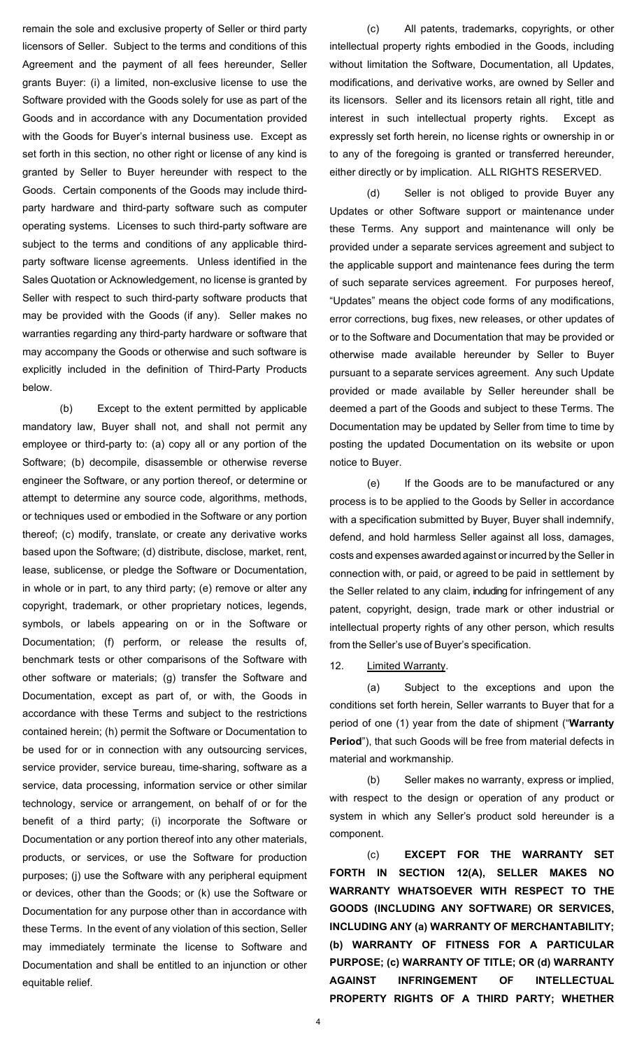remain the sole and exclusive property of Seller or third party licensors of Seller. Subject to the terms and conditions of this Agreement and the payment of all fees hereunder, Seller grants Buyer: (i) a limited, non-exclusive license to use the Software provided with the Goods solely for use as part of the Goods and in accordance with any Documentation provided with the Goods for Buyer's internal business use. Except as set forth in this section, no other right or license of any kind is granted by Seller to Buyer hereunder with respect to the Goods. Certain components of the Goods may include thirdparty hardware and third-party software such as computer operating systems. Licenses to such third-party software are subject to the terms and conditions of any applicable thirdparty software license agreements. Unless identified in the Sales Quotation or Acknowledgement, no license is granted by Seller with respect to such third-party software products that may be provided with the Goods (if any). Seller makes no warranties regarding any third-party hardware or software that may accompany the Goods or otherwise and such software is explicitly included in the definition of Third-Party Products below.

(b) Except to the extent permitted by applicable mandatory law, Buyer shall not, and shall not permit any employee or third-party to: (a) copy all or any portion of the Software; (b) decompile, disassemble or otherwise reverse engineer the Software, or any portion thereof, or determine or attempt to determine any source code, algorithms, methods, or techniques used or embodied in the Software or any portion thereof; (c) modify, translate, or create any derivative works based upon the Software; (d) distribute, disclose, market, rent, lease, sublicense, or pledge the Software or Documentation, in whole or in part, to any third party; (e) remove or alter any copyright, trademark, or other proprietary notices, legends, symbols, or labels appearing on or in the Software or Documentation; (f) perform, or release the results of, benchmark tests or other comparisons of the Software with other software or materials; (g) transfer the Software and Documentation, except as part of, or with, the Goods in accordance with these Terms and subject to the restrictions contained herein; (h) permit the Software or Documentation to be used for or in connection with any outsourcing services, service provider, service bureau, time-sharing, software as a service, data processing, information service or other similar technology, service or arrangement, on behalf of or for the benefit of a third party; (i) incorporate the Software or Documentation or any portion thereof into any other materials, products, or services, or use the Software for production purposes; (j) use the Software with any peripheral equipment or devices, other than the Goods; or (k) use the Software or Documentation for any purpose other than in accordance with these Terms. In the event of any violation of this section, Seller may immediately terminate the license to Software and Documentation and shall be entitled to an injunction or other equitable relief.

(c) All patents, trademarks, copyrights, or other intellectual property rights embodied in the Goods, including without limitation the Software, Documentation, all Updates, modifications, and derivative works, are owned by Seller and its licensors. Seller and its licensors retain all right, title and interest in such intellectual property rights. Except as expressly set forth herein, no license rights or ownership in or to any of the foregoing is granted or transferred hereunder, either directly or by implication. ALL RIGHTS RESERVED.

(d) Seller is not obliged to provide Buyer any Updates or other Software support or maintenance under these Terms. Any support and maintenance will only be provided under a separate services agreement and subject to the applicable support and maintenance fees during the term of such separate services agreement. For purposes hereof, "Updates" means the object code forms of any modifications, error corrections, bug fixes, new releases, or other updates of or to the Software and Documentation that may be provided or otherwise made available hereunder by Seller to Buyer pursuant to a separate services agreement. Any such Update provided or made available by Seller hereunder shall be deemed a part of the Goods and subject to these Terms. The Documentation may be updated by Seller from time to time by posting the updated Documentation on its website or upon notice to Buyer.

(e) If the Goods are to be manufactured or any process is to be applied to the Goods by Seller in accordance with a specification submitted by Buyer, Buyer shall indemnify, defend, and hold harmless Seller against all loss, damages, costs and expenses awarded against or incurred by the Seller in connection with, or paid, or agreed to be paid in settlement by the Seller related to any claim, including for infringement of any patent, copyright, design, trade mark or other industrial or intellectual property rights of any other person, which results from the Seller's use of Buyer's specification.

#### 12. Limited Warranty.

<span id="page-3-0"></span>(a) Subject to the exceptions and upon the conditions set forth herein, Seller warrants to Buyer that for a period of one (1) year from the date of shipment ("**Warranty Period**"), that such Goods will be free from material defects in material and workmanship.

(b) Seller makes no warranty, express or implied, with respect to the design or operation of any product or system in which any Seller's product sold hereunder is a component.

(c) **EXCEPT FOR THE WARRANTY SET FORTH IN SECTION 12(A), SELLER MAKES NO WARRANTY WHATSOEVER WITH RESPECT TO THE GOODS (INCLUDING ANY SOFTWARE) OR SERVICES, INCLUDING ANY (a) WARRANTY OF MERCHANTABILITY; (b) WARRANTY OF FITNESS FOR A PARTICULAR PURPOSE; (c) WARRANTY OF TITLE; OR (d) WARRANTY AGAINST INFRINGEMENT OF INTELLECTUAL PROPERTY RIGHTS OF A THIRD PARTY; WHETHER**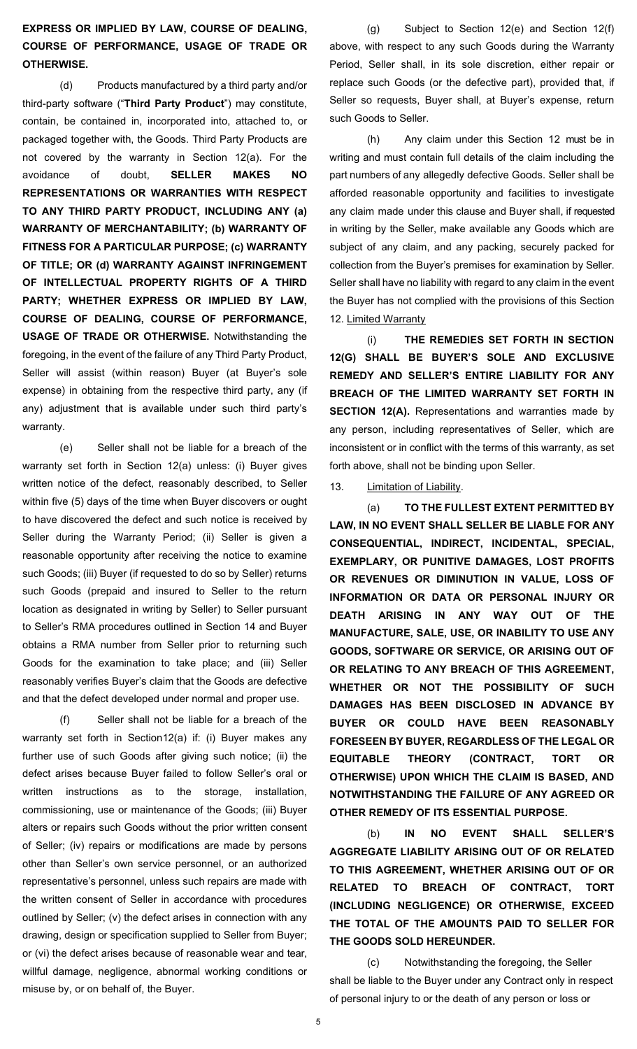# **EXPRESS OR IMPLIED BY LAW, COURSE OF DEALING, COURSE OF PERFORMANCE, USAGE OF TRADE OR OTHERWISE.**

(d) Products manufactured by a third party and/or third-party software ("**Third Party Product**") may constitute, contain, be contained in, incorporated into, attached to, or packaged together with, the Goods. Third Party Products are not covered by the warranty in Section 12(a). For the avoidance of doubt, **SELLER MAKES NO REPRESENTATIONS OR WARRANTIES WITH RESPECT TO ANY THIRD PARTY PRODUCT, INCLUDING ANY (a) WARRANTY OF MERCHANTABILITY; (b) WARRANTY OF FITNESS FOR A PARTICULAR PURPOSE; (c) WARRANTY OF TITLE; OR (d) WARRANTY AGAINST INFRINGEMENT OF INTELLECTUAL PROPERTY RIGHTS OF A THIRD PARTY; WHETHER EXPRESS OR IMPLIED BY LAW, COURSE OF DEALING, COURSE OF PERFORMANCE, USAGE OF TRADE OR OTHERWISE.** Notwithstanding the foregoing, in the event of the failure of any Third Party Product, Seller will assist (within reason) Buyer (at Buyer's sole expense) in obtaining from the respective third party, any (if any) adjustment that is available under such third party's warranty.

(e) Seller shall not be liable for a breach of the warranty set forth in Section [12\(a\)](#page-3-0) unless: (i) Buyer gives written notice of the defect, reasonably described, to Seller within five (5) days of the time when Buyer discovers or ought to have discovered the defect and such notice is received by Seller during the Warranty Period; (ii) Seller is given a reasonable opportunity after receiving the notice to examine such Goods; (iii) Buyer (if requested to do so by Seller) returns such Goods (prepaid and insured to Seller to the return location as designated in writing by Seller) to Seller pursuant to Seller's RMA procedures outlined in Section 14 and Buyer obtains a RMA number from Seller prior to returning such Goods for the examination to take place; and (iii) Seller reasonably verifies Buyer's claim that the Goods are defective and that the defect developed under normal and proper use.

Seller shall not be liable for a breach of the warranty set forth in Section12(a) if: (i) Buyer makes any further use of such Goods after giving such notice; (ii) the defect arises because Buyer failed to follow Seller's oral or written instructions as to the storage, installation, commissioning, use or maintenance of the Goods; (iii) Buyer alters or repairs such Goods without the prior written consent of Seller; (iv) repairs or modifications are made by persons other than Seller's own service personnel, or an authorized representative's personnel, unless such repairs are made with the written consent of Seller in accordance with procedures outlined by Seller; (v) the defect arises in connection with any drawing, design or specification supplied to Seller from Buyer; or (vi) the defect arises because of reasonable wear and tear, willful damage, negligence, abnormal working conditions or misuse by, or on behalf of, the Buyer.

(g) Subject to Section 12(e) and Section 12(f) above, with respect to any such Goods during the Warranty Period, Seller shall, in its sole discretion, either repair or replace such Goods (or the defective part), provided that, if Seller so requests, Buyer shall, at Buyer's expense, return such Goods to Seller.

(h) Any claim under this Section 12 must be in writing and must contain full details of the claim including the part numbers of any allegedly defective Goods. Seller shall be afforded reasonable opportunity and facilities to investigate any claim made under this clause and Buyer shall, if requested in writing by the Seller, make available any Goods which are subject of any claim, and any packing, securely packed for collection from the Buyer's premises for examination by Seller. Seller shall have no liability with regard to any claim in the event the Buyer has not complied with the provisions of this Section 12. Limited Warranty

(i) **THE REMEDIES SET FORTH IN SECTION 12(G) SHALL BE BUYER'S SOLE AND EXCLUSIVE REMEDY AND SELLER'S ENTIRE LIABILITY FOR ANY BREACH OF THE LIMITED WARRANTY SET FORTH IN SECTION 12(A).** Representations and warranties made by any person, including representatives of Seller, which are inconsistent or in conflict with the terms of this warranty, as set forth above, shall not be binding upon Seller.

#### 13. **Limitation of Liability.**

(a) **TO THE FULLEST EXTENT PERMITTED BY LAW, IN NO EVENT SHALL SELLER BE LIABLE FOR ANY CONSEQUENTIAL, INDIRECT, INCIDENTAL, SPECIAL, EXEMPLARY, OR PUNITIVE DAMAGES, LOST PROFITS OR REVENUES OR DIMINUTION IN VALUE, LOSS OF INFORMATION OR DATA OR PERSONAL INJURY OR DEATH ARISING IN ANY WAY OUT OF THE MANUFACTURE, SALE, USE, OR INABILITY TO USE ANY GOODS, SOFTWARE OR SERVICE, OR ARISING OUT OF OR RELATING TO ANY BREACH OF THIS AGREEMENT, WHETHER OR NOT THE POSSIBILITY OF SUCH DAMAGES HAS BEEN DISCLOSED IN ADVANCE BY BUYER OR COULD HAVE BEEN REASONABLY FORESEEN BY BUYER, REGARDLESS OF THE LEGAL OR EQUITABLE THEORY (CONTRACT, TORT OR OTHERWISE) UPON WHICH THE CLAIM IS BASED, AND NOTWITHSTANDING THE FAILURE OF ANY AGREED OR OTHER REMEDY OF ITS ESSENTIAL PURPOSE.**

(b) **IN NO EVENT SHALL SELLER'S AGGREGATE LIABILITY ARISING OUT OF OR RELATED TO THIS AGREEMENT, WHETHER ARISING OUT OF OR RELATED TO BREACH OF CONTRACT, TORT (INCLUDING NEGLIGENCE) OR OTHERWISE, EXCEED THE TOTAL OF THE AMOUNTS PAID TO SELLER FOR THE GOODS SOLD HEREUNDER.**

(c) Notwithstanding the foregoing, the Seller shall be liable to the Buyer under any Contract only in respect of personal injury to or the death of any person or loss or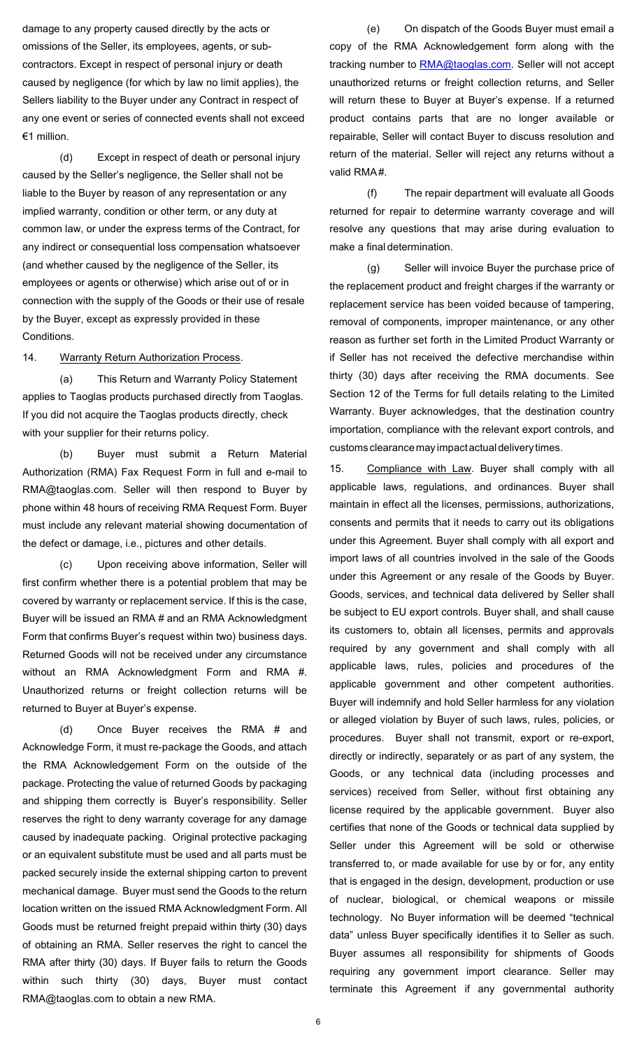damage to any property caused directly by the acts or omissions of the Seller, its employees, agents, or subcontractors. Except in respect of personal injury or death caused by negligence (for which by law no limit applies), the Sellers liability to the Buyer under any Contract in respect of any one event or series of connected events shall not exceed €1 million.

(d) Except in respect of death or personal injury caused by the Seller's negligence, the Seller shall not be liable to the Buyer by reason of any representation or any implied warranty, condition or other term, or any duty at common law, or under the express terms of the Contract, for any indirect or consequential loss compensation whatsoever (and whether caused by the negligence of the Seller, its employees or agents or otherwise) which arise out of or in connection with the supply of the Goods or their use of resale by the Buyer, except as expressly provided in these Conditions.

14. Warranty Return Authorization Process.

(a) This Return and Warranty Policy Statement applies to Taoglas products purchased directly from Taoglas. If you did not acquire the Taoglas products directly, check with your supplier for their returns policy.

(b) Buyer must submit a Return Material Authorization (RMA) Fax Request Form in full and e-mail to [RMA@taoglas.com. S](mailto:RMA@taoglas.com)eller will then respond to Buyer by phone within 48 hours of receiving RMA Request Form. Buyer must include any relevant material showing documentation of the defect or damage, i.e., pictures and other details.

(c) Upon receiving above information, Seller will first confirm whether there is a potential problem that may be covered by warranty or replacement service. If this is the case, Buyer will be issued an RMA # and an RMA Acknowledgment Form that confirms Buyer's request within two) business days. Returned Goods will not be received under any circumstance without an RMA Acknowledgment Form and RMA #. Unauthorized returns or freight collection returns will be returned to Buyer at Buyer's expense.

(d) Once Buyer receives the RMA # and Acknowledge Form, it must re-package the Goods, and attach the RMA Acknowledgement Form on the outside of the package. Protecting the value of returned Goods by packaging and shipping them correctly is Buyer's responsibility. Seller reserves the right to deny warranty coverage for any damage caused by inadequate packing. Original protective packaging or an equivalent substitute must be used and all parts must be packed securely inside the external shipping carton to prevent mechanical damage. Buyer must send the Goods to the return location written on the issued RMA Acknowledgment Form. All Goods must be returned freight prepaid within thirty (30) days of obtaining an RMA. Seller reserves the right to cancel the RMA after thirty (30) days. If Buyer fails to return the Goods within such thirty (30) days, Buyer must contact [RMA@taoglas.com](mailto:RMA@taoglas.com) to obtain a new RMA.

(e) On dispatch of the Goods Buyer must email a copy of the RMA Acknowledgement form along with the tracking number to [RMA@taoglas.com.](mailto:RMA@taoglas.com) Seller will not accept unauthorized returns or freight collection returns, and Seller will return these to Buyer at Buyer's expense. If a returned product contains parts that are no longer available or repairable, Seller will contact Buyer to discuss resolution and return of the material. Seller will reject any returns without a valid RMA#.

(f) The repair department will evaluate all Goods returned for repair to determine warranty coverage and will resolve any questions that may arise during evaluation to make a final determination.

(g) Seller will invoice Buyer the purchase price of the replacement product and freight charges if the warranty or replacement service has been voided because of tampering, removal of components, improper maintenance, or any other reason as further set forth in the Limited Product Warranty or if Seller has not received the defective merchandise within thirty (30) days after receiving the RMA documents. See Section 12 of the Terms for full details relating to the Limited Warranty. Buyer acknowledges, that the destination country importation, compliance with the relevant export controls, and customs clearance may impact actual delivery times.

15. Compliance with Law. Buyer shall comply with all applicable laws, regulations, and ordinances. Buyer shall maintain in effect all the licenses, permissions, authorizations, consents and permits that it needs to carry out its obligations under this Agreement. Buyer shall comply with all export and import laws of all countries involved in the sale of the Goods under this Agreement or any resale of the Goods by Buyer. Goods, services, and technical data delivered by Seller shall be subject to EU export controls. Buyer shall, and shall cause its customers to, obtain all licenses, permits and approvals required by any government and shall comply with all applicable laws, rules, policies and procedures of the applicable government and other competent authorities. Buyer will indemnify and hold Seller harmless for any violation or alleged violation by Buyer of such laws, rules, policies, or procedures. Buyer shall not transmit, export or re-export, directly or indirectly, separately or as part of any system, the Goods, or any technical data (including processes and services) received from Seller, without first obtaining any license required by the applicable government. Buyer also certifies that none of the Goods or technical data supplied by Seller under this Agreement will be sold or otherwise transferred to, or made available for use by or for, any entity that is engaged in the design, development, production or use of nuclear, biological, or chemical weapons or missile technology. No Buyer information will be deemed "technical data" unless Buyer specifically identifies it to Seller as such. Buyer assumes all responsibility for shipments of Goods requiring any government import clearance. Seller may terminate this Agreement if any governmental authority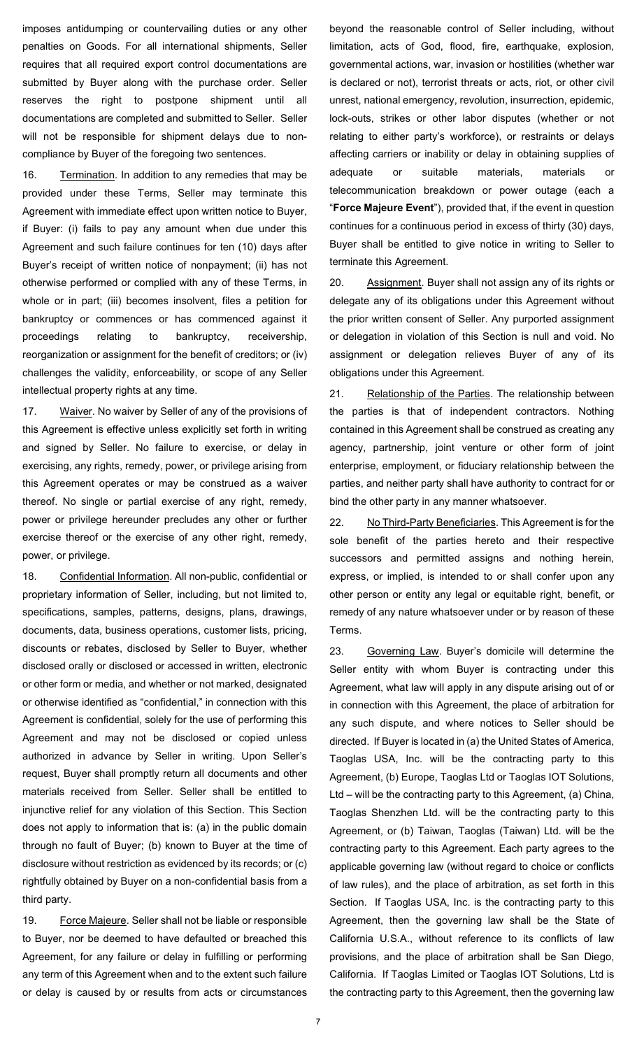imposes antidumping or countervailing duties or any other penalties on Goods. For all international shipments, Seller requires that all required export control documentations are submitted by Buyer along with the purchase order. Seller reserves the right to postpone shipment until all documentations are completed and submitted to Seller. Seller will not be responsible for shipment delays due to noncompliance by Buyer of the foregoing two sentences.

16. Termination. In addition to any remedies that may be provided under these Terms, Seller may terminate this Agreement with immediate effect upon written notice to Buyer, if Buyer: (i) fails to pay any amount when due under this Agreement and such failure continues for ten (10) days after Buyer's receipt of written notice of nonpayment; (ii) has not otherwise performed or complied with any of these Terms, in whole or in part; (iii) becomes insolvent, files a petition for bankruptcy or commences or has commenced against it proceedings relating to bankruptcy, receivership, reorganization or assignment for the benefit of creditors; or (iv) challenges the validity, enforceability, or scope of any Seller intellectual property rights at any time.

17. Waiver. No waiver by Seller of any of the provisions of this Agreement is effective unless explicitly set forth in writing and signed by Seller. No failure to exercise, or delay in exercising, any rights, remedy, power, or privilege arising from this Agreement operates or may be construed as a waiver thereof. No single or partial exercise of any right, remedy, power or privilege hereunder precludes any other or further exercise thereof or the exercise of any other right, remedy, power, or privilege.

18. Confidential Information. All non-public, confidential or proprietary information of Seller, including, but not limited to, specifications, samples, patterns, designs, plans, drawings, documents, data, business operations, customer lists, pricing, discounts or rebates, disclosed by Seller to Buyer, whether disclosed orally or disclosed or accessed in written, electronic or other form or media, and whether or not marked, designated or otherwise identified as "confidential," in connection with this Agreement is confidential, solely for the use of performing this Agreement and may not be disclosed or copied unless authorized in advance by Seller in writing. Upon Seller's request, Buyer shall promptly return all documents and other materials received from Seller. Seller shall be entitled to injunctive relief for any violation of this Section. This Section does not apply to information that is: (a) in the public domain through no fault of Buyer; (b) known to Buyer at the time of disclosure without restriction as evidenced by its records; or (c) rightfully obtained by Buyer on a non-confidential basis from a third party.

19. Force Majeure. Seller shall not be liable or responsible to Buyer, nor be deemed to have defaulted or breached this Agreement, for any failure or delay in fulfilling or performing any term of this Agreement when and to the extent such failure or delay is caused by or results from acts or circumstances

beyond the reasonable control of Seller including, without limitation, acts of God, flood, fire, earthquake, explosion, governmental actions, war, invasion or hostilities (whether war is declared or not), terrorist threats or acts, riot, or other civil unrest, national emergency, revolution, insurrection, epidemic, lock-outs, strikes or other labor disputes (whether or not relating to either party's workforce), or restraints or delays affecting carriers or inability or delay in obtaining supplies of adequate or suitable materials, materials or telecommunication breakdown or power outage (each a "**Force Majeure Event**"), provided that, if the event in question continues for a continuous period in excess of thirty (30) days, Buyer shall be entitled to give notice in writing to Seller to terminate this Agreement.

20. Assignment. Buyer shall not assign any of its rights or delegate any of its obligations under this Agreement without the prior written consent of Seller. Any purported assignment or delegation in violation of this Section is null and void. No assignment or delegation relieves Buyer of any of its obligations under this Agreement.

21. Relationship of the Parties. The relationship between the parties is that of independent contractors. Nothing contained in this Agreement shall be construed as creating any agency, partnership, joint venture or other form of joint enterprise, employment, or fiduciary relationship between the parties, and neither party shall have authority to contract for or bind the other party in any manner whatsoever.

22. No Third-Party Beneficiaries. This Agreement is for the sole benefit of the parties hereto and their respective successors and permitted assigns and nothing herein, express, or implied, is intended to or shall confer upon any other person or entity any legal or equitable right, benefit, or remedy of any nature whatsoever under or by reason of these Terms.

<span id="page-6-0"></span>23. Governing Law. Buyer's domicile will determine the Seller entity with whom Buyer is contracting under this Agreement, what law will apply in any dispute arising out of or in connection with this Agreement, the place of arbitration for any such dispute, and where notices to Seller should be directed. If Buyer is located in (a) the United States of America, Taoglas USA, Inc. will be the contracting party to this Agreement, (b) Europe, Taoglas Ltd or Taoglas IOT Solutions, Ltd – will be the contracting party to this Agreement, (a) China, Taoglas Shenzhen Ltd. will be the contracting party to this Agreement, or (b) Taiwan, Taoglas (Taiwan) Ltd. will be the contracting party to this Agreement. Each party agrees to the applicable governing law (without regard to choice or conflicts of law rules), and the place of arbitration, as set forth in this Section. If Taoglas USA, Inc. is the contracting party to this Agreement, then the governing law shall be the State of California U.S.A., without reference to its conflicts of law provisions, and the place of arbitration shall be San Diego, California. If Taoglas Limited or Taoglas IOT Solutions, Ltd is the contracting party to this Agreement, then the governing law